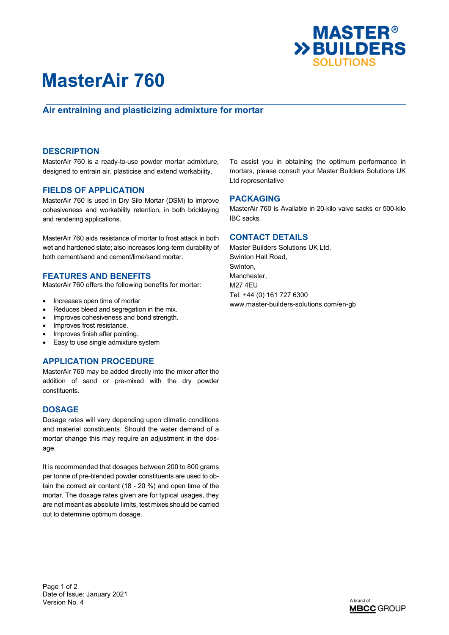

# **MasterAir 760**

## **Air entraining and plasticizing admixture for mortar**

### **DESCRIPTION**

MasterAir 760 is a ready-to-use powder mortar admixture, designed to entrain air, plasticise and extend workability.

## **FIELDS OF APPLICATION**

MasterAir 760 is used in Dry Silo Mortar (DSM) to improve cohesiveness and workability retention, in both bricklaying and rendering applications.

MasterAir 760 aids resistance of mortar to frost attack in both wet and hardened state; also increases long-term durability of both cement/sand and cement/lime/sand mortar.

#### **FEATURES AND BENEFITS**

MasterAir 760 offers the following benefits for mortar:

- Increases open time of mortar
- Reduces bleed and segregation in the mix.
- Improves cohesiveness and bond strength.
- Improves frost resistance.
- Improves finish after pointing.
- Easy to use single admixture system

### **APPLICATION PROCEDURE**

MasterAir 760 may be added directly into the mixer after the addition of sand or pre-mixed with the dry powder constituents.

### **DOSAGE**

Dosage rates will vary depending upon climatic conditions and material constituents. Should the water demand of a mortar change this may require an adjustment in the dosage.

It is recommended that dosages between 200 to 800 grams per tonne of pre-blended powder constituents are used to obtain the correct air content (18 - 20 %) and open time of the mortar. The dosage rates given are for typical usages, they are not meant as absolute limits, test mixes should be carried out to determine optimum dosage.

To assist you in obtaining the optimum performance in mortars, please consult your Master Builders Solutions UK Ltd representative

#### **PACKAGING**

MasterAir 760 is Available in 20-kilo valve sacks or 500-kilo IBC sacks.

### **CONTACT DETAILS**

Master Builders Solutions UK Ltd, Swinton Hall Road, Swinton, Manchester, M27 4EU Tel: +44 (0) 161 727 6300 www.master-builders-solutions.com/en-gb

Page 1 of 2 Date of Issue: January 2021 Version No. 4